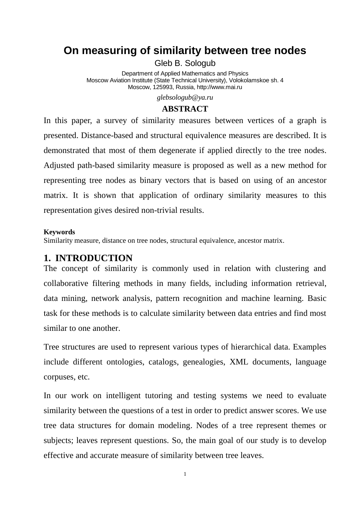# **On measuring of similarity between tree nodes**

Gleb B. Sologub

Department of Applied Mathematics and Physics Moscow Aviation Institute (State Technical University), Volokolamskoe sh. 4 Moscow, 125993, Russia, http://www.mai.ru

*glebsologub@ya.ru*

### **ABSTRACT**

In this paper, a survey of similarity measures between vertices of a graph is presented. Distance-based and structural equivalence measures are described. It is demonstrated that most of them degenerate if applied directly to the tree nodes. Adjusted path-based similarity measure is proposed as well as a new method for representing tree nodes as binary vectors that is based on using of an ancestor matrix. It is shown that application of ordinary similarity measures to this representation gives desired non-trivial results.

#### **Keywords**

Similarity measure, distance on tree nodes, structural equivalence, ancestor matrix.

# **1. INTRODUCTION**

The concept of similarity is commonly used in relation with clustering and collaborative filtering methods in many fields, including information retrieval, data mining, network analysis, pattern recognition and machine learning. Basic task for these methods is to calculate similarity between data entries and find most similar to one another.

Tree structures are used to represent various types of hierarchical data. Examples include different ontologies, catalogs, genealogies, XML documents, language corpuses, etc.

In our work on intelligent tutoring and testing systems we need to evaluate similarity between the questions of a test in order to predict answer scores. We use tree data structures for domain modeling. Nodes of a tree represent themes or subjects; leaves represent questions. So, the main goal of our study is to develop effective and accurate measure of similarity between tree leaves.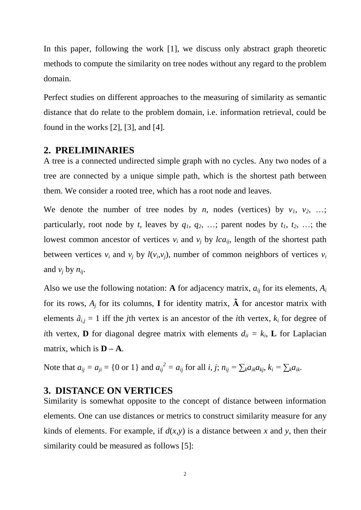In this paper, following the work [1], we discuss only abstract graph theoretic methods to compute the similarity on tree nodes without any regard to the problem domain.

Perfect studies on different approaches to the measuring of similarity as semantic distance that do relate to the problem domain, i.e. information retrieval, could be found in the works [2], [3], and [4].

### **2. PRELIMINARIES**

A tree is a connected undirected simple graph with no cycles. Any two nodes of a tree are connected by a unique simple path, which is the shortest path between them. We consider a rooted tree, which has a root node and leaves.

We denote the number of tree nodes by *n*, nodes (vertices) by  $v_1$ ,  $v_2$ , ...; particularly, root node by *t*, leaves by  $q_1, q_2, \ldots$ ; parent nodes by  $t_1, t_2, \ldots$ ; the lowest common ancestor of vertices  $v_i$  and  $v_j$  by *lca*<sub>*ii*</sub>, length of the shortest path between vertices  $v_i$  and  $v_j$  by  $l(v_i, v_j)$ , number of common neighbors of vertices  $v_i$ and  $v_i$  by  $n_{ii}$ .

Also we use the following notation: **A** for adjacency matrix,  $a_{ij}$  for its elements,  $A_i$ for its rows,  $A_i$  for its columns, **I** for identity matrix,  $\tilde{A}$  for ancestor matrix with elements  $\tilde{a}_{i,j} = 1$  iff the *j*th vertex is an ancestor of the *i*th vertex,  $k_i$  for degree of *i*th vertex, **D** for diagonal degree matrix with elements  $d_{ii} = k_i$ , **L** for Laplacian matrix, which is  $D - A$ .

Note that  $a_{ij} = a_{ji} = \{0 \text{ or } 1\}$  and  $a_{ij}^2 = a_{ij}$  for all *i*, *j*;  $n_{ij} = \sum_k a_{ik} a_{kj}$ ,  $k_i = \sum_k a_{ik}$ .

# **3. DISTANCE ON VERTICES**

Similarity is somewhat opposite to the concept of distance between information elements. One can use distances or metrics to construct similarity measure for any kinds of elements. For example, if  $d(x, y)$  is a distance between x and y, then their similarity could be measured as follows [5]: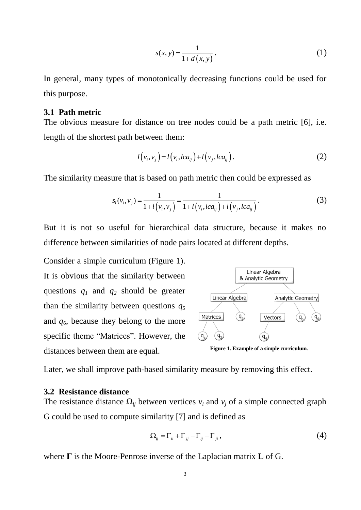$$
s(x, y) = \frac{1}{1 + d(x, y)}.
$$
 (1)

In general, many types of monotonically decreasing functions could be used for this purpose.

### **3.1 Path metric**

The obvious measure for distance on tree nodes could be a path metric [6], i.e. length of the shortest path between them:

$$
l(v_i, v_j) = l(v_i, lca_{ij}) + l(v_j, lca_{ij}).
$$
\n(2)

The similarity measure that is based on path metric then could be expressed as  
\n
$$
s_i(v_i, v_j) = \frac{1}{1 + l(v_i, v_j)} = \frac{1}{1 + l(v_i, lca_{ij}) + l(v_j, lca_{ij})}.
$$
\n(3)

But it is not so useful for hierarchical data structure, because it makes no difference between similarities of node pairs located at different depths.

Consider a simple curriculum (Figure 1). It is obvious that the similarity between questions *q<sup>1</sup>* and *q<sup>2</sup>* should be greater than the similarity between questions *q<sup>5</sup>* and *q6*, because they belong to the more specific theme "Matrices". However, the distances between them are equal.



**Figure 1. Example of a simple curriculum.**

Later, we shall improve path-based similarity measure by removing this effect.

#### **3.2 Resistance distance**

The resistance distance  $\Omega_{ij}$  between vertices  $v_i$  and  $v_j$  of a simple connected graph G could be used to compute similarity [7] and is defined as

$$
\Omega_{ij} = \Gamma_{ii} + \Gamma_{jj} - \Gamma_{ij} - \Gamma_{ji}, \qquad (4)
$$

where **Г** is the Moore-Penrose inverse of the Laplacian matrix **L** of G.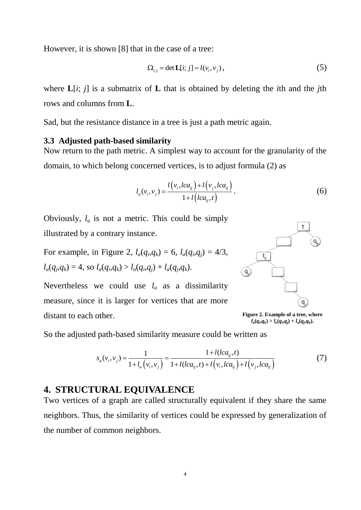However, it is shown [8] that in the case of a tree:

$$
\Omega_{i,j} = \det \mathbf{L}[i; j] = l(v_i, v_j), \tag{5}
$$

where **L**[*i*; *j*] is a submatrix of **L** that is obtained by deleting the *i*th and the *j*th rows and columns from **L**.

Sad, but the resistance distance in a tree is just a path metric again.

### **3.3 Adjusted path-based similarity**

Now return to the path metric. A simplest way to account for the granularity of the domain, to which belong concerned vertices, is to adjust formula (2) as

$$
l_a(v_i, v_j) = \frac{l(v_i, lca_{ij}) + l(v_j, lca_{ij})}{1 + l(lca_{ij}, t)}.
$$
\n(6)

Obviously,  $l_a$  is not a metric. This could be simply illustrated by a contrary instance.

For example, in Figure 2, 
$$
l_a(q_i, q_k) = 6
$$
,  $l_a(q_i, q_j) = 4/3$ ,  
 $l_a(q_j, q_k) = 4$ , so  $l_a(q_i, q_k) > l_a(q_i, q_j) + l_a(q_j, q_k)$ .

Nevertheless we could use  $l_a$  as a dissimilarity measure, since it is larger for vertices that are more distant to each other.



**Figure 2. Example of a tree, where**   $l_a(q_i,q_k) > l_a(q_i,q_j) + l_a(q_j,q_k).$ 

So the adjusted path-based similarity measure could be written as  
\n
$$
s_a(v_i, v_j) = \frac{1}{1 + l_a(v_i, v_j)} = \frac{1 + l(lca_{ij}, t)}{1 + l(lca_{ij}, t) + l(v_i, lca_{ij}) + l(v_j, lca_{ij})}
$$
\n(7)

# **4. STRUCTURAL EQUIVALENCE**

Two vertices of a graph are called structurally equivalent if they share the same neighbors. Thus, the similarity of vertices could be expressed by generalization of the number of common neighbors.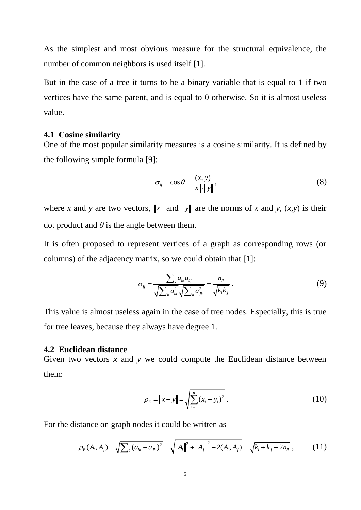As the simplest and most obvious measure for the structural equivalence, the number of common neighbors is used itself [1].

But in the case of a tree it turns to be a binary variable that is equal to 1 if two vertices have the same parent, and is equal to 0 otherwise. So it is almost useless value.

#### **4.1 Cosine similarity**

One of the most popular similarity measures is a cosine similarity. It is defined by the following simple formula [9]:

$$
\sigma_{ij} = \cos \theta = \frac{(x, y)}{\|x\| \cdot \|y\|},\tag{8}
$$

where *x* and *y* are two vectors, ||x|| and ||y|| are the norms of *x* and *y*,  $(x,y)$  is their dot product and  $\theta$  is the angle between them.

It is often proposed to represent vertices of a graph as corresponding rows (or columns) of the adjacency matrix, so we could obtain that [1]:

$$
\sigma_{ij} = \frac{\sum_{k} a_{ik} a_{kj}}{\sqrt{\sum_{k} a_{ik}^2} \sqrt{\sum_{k} a_{jk}^2}} = \frac{n_{ij}}{\sqrt{k_i k_j}}.
$$
\n(9)

This value is almost useless again in the case of tree nodes. Especially, this is true for tree leaves, because they always have degree 1.

#### **4.2 Euclidean distance**

Given two vectors *x* and *y* we could compute the Euclidean distance between them:

$$
\rho_E = \|x - y\| = \sqrt{\sum_{i=1}^n (x_i - y_i)^2} \,. \tag{10}
$$

For the distance on graph nodes it could be written as  
\n
$$
\rho_E(A_i, A_j) = \sqrt{\sum_k (a_{ik} - a_{jk})^2} = \sqrt{\|A_i\|^2 + \|A_j\|^2 - 2(A_i, A_j)} = \sqrt{k_i + k_j - 2n_{ij}},
$$
\n(11)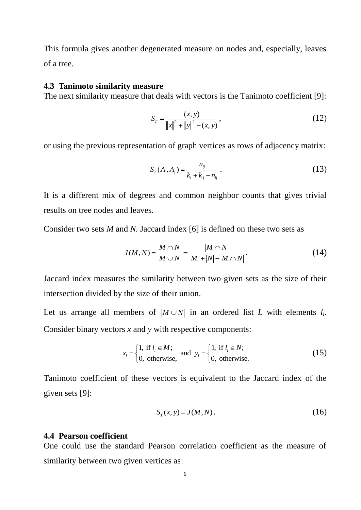This formula gives another degenerated measure on nodes and, especially, leaves of a tree.

#### **4.3 Tanimoto similarity measure**

The next similarity measure that deals with vectors is the Tanimoto coefficient [9]:

$$
S_T = \frac{(x, y)}{\|x\|^2 + \|y\|^2 - (x, y)},
$$
\n(12)

or using the previous representation of graph vertices as rows of adjacency matrix:

$$
S_T(A_i, A_j) = \frac{n_{ij}}{k_i + k_j - n_{ij}}.
$$
\n(13)

It is a different mix of degrees and common neighbor counts that gives trivial results on tree nodes and leaves.

Consider two sets *M* and *N.* Jaccard index [6] is defined on these two sets as

$$
J(M, N) = \frac{|M \cap N|}{|M \cup N|} = \frac{|M \cap N|}{|M| + |N| - |M \cap N|}.
$$
 (14)

Jaccard index measures the similarity between two given sets as the size of their intersection divided by the size of their union.

Let us arrange all members of  $|M \cup N|$  in an ordered list *L* with elements  $l_i$ . Consider binary vectors *x* and *y* with respective components:

$$
x_i = \begin{cases} 1, & \text{if } l_i \in M; \\ 0, & \text{otherwise,} \end{cases} \text{ and } y_i = \begin{cases} 1, & \text{if } l_i \in N; \\ 0, & \text{otherwise.} \end{cases} \tag{15}
$$

Tanimoto coefficient of these vectors is equivalent to the Jaccard index of the given sets [9]:

$$
S_T(x, y) = J(M, N). \tag{16}
$$

### **4.4 Pearson coefficient**

One could use the standard Pearson correlation coefficient as the measure of similarity between two given vertices as: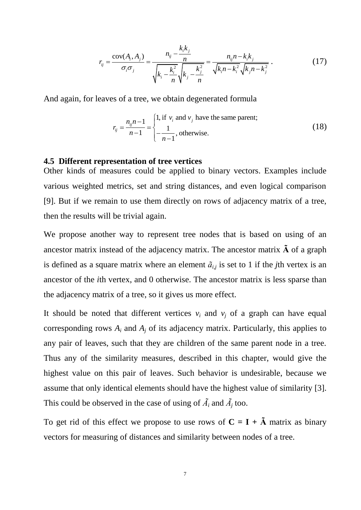$$
r_{ij} = \frac{\text{cov}(A_i, A_j)}{\sigma_i \sigma_j} = \frac{n_{ij} - \frac{k_i k_j}{n}}{\sqrt{k_i - \frac{k_i^2}{n}} \sqrt{k_j - \frac{k_j^2}{n}}} = \frac{n_{ij} n - k_i k_j}{\sqrt{k_i n - k_i^2} \sqrt{k_j n - k_j^2}}.
$$
(17)

And again, for leaves of a tree, we obtain degenerated formula

$$
r_{ij} = \frac{n_{ij}n - 1}{n - 1} = \begin{cases} 1, & \text{if } v_i \text{ and } v_j \text{ have the same parent;} \\ -\frac{1}{n - 1}, & \text{otherwise.} \end{cases}
$$
(18)

### **4.5 Different representation of tree vertices**

Other kinds of measures could be applied to binary vectors. Examples include various weighted metrics, set and string distances, and even logical comparison [9]. But if we remain to use them directly on rows of adjacency matrix of a tree, then the results will be trivial again.

We propose another way to represent tree nodes that is based on using of an ancestor matrix instead of the adjacency matrix. The ancestor matrix **Ã** of a graph is defined as a square matrix where an element  $\tilde{a}_{i,j}$  is set to 1 if the *j*th vertex is an ancestor of the *i*th vertex, and 0 otherwise. The ancestor matrix is less sparse than the adjacency matrix of a tree, so it gives us more effect.

It should be noted that different vertices  $v_i$  and  $v_j$  of a graph can have equal corresponding rows  $A_i$  and  $A_j$  of its adjacency matrix. Particularly, this applies to any pair of leaves, such that they are children of the same parent node in a tree. Thus any of the similarity measures, described in this chapter, would give the highest value on this pair of leaves. Such behavior is undesirable, because we assume that only identical elements should have the highest value of similarity [3]. This could be observed in the case of using of  $\tilde{A}_i$  and  $\tilde{A}_j$  too.

To get rid of this effect we propose to use rows of  $C = I + \tilde{A}$  matrix as binary vectors for measuring of distances and similarity between nodes of a tree.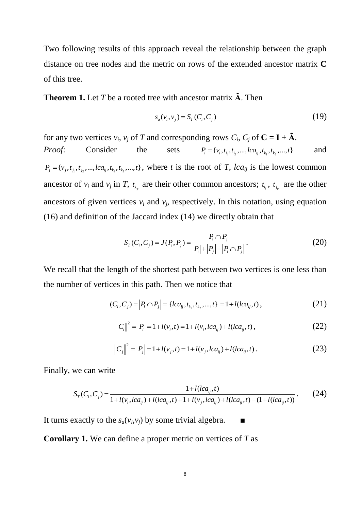Two following results of this approach reveal the relationship between the graph distance on tree nodes and the metric on rows of the extended ancestor matrix **C** of this tree.

**Theorem 1.** Let *T* be a rooted tree with ancestor matrix **Ã**. Then

$$
s_a(v_i, v_j) = S_T(C_i, C_j)
$$
\n(19)

for any two vertices  $v_i$ ,  $v_j$  of *T* and corresponding rows  $C_i$ ,  $C_j$  of  $C = I + \tilde{A}$ .

*Proof:* Consider the sets  $P_i = \{v_i, t_{i_1}, t_{i_2}, ..., lca_{ij}, t_{k_1}, t_{k_2}, ..., t\}$ and  $P_j = \{v_j, t_{j_1}, t_{j_2}, \dots, lca_{ij}, t_{k_1}, t_{k_2}, \dots, t\}$ , where *t* is the root of *T*, *lca*<sub>*ij*</sub> is the lowest common ancestor of  $v_i$  and  $v_j$  in *T*,  $t_{k_p}$  are their other common ancestors;  $t_{i_i}$ ,  $t_{j_m}$  are the other ancestors of given vertices  $v_i$  and  $v_j$ , respectively. In this notation, using equation (16) and definition of the Jaccard index (14) we directly obtain that

$$
S_T(C_i, C_j) = J(P_i, P_j) = \frac{|P_i \cap P_j|}{|P_i| + |P_j| - |P_i \cap P_j|}.
$$
\n(20)

We recall that the length of the shortest path between two vertices is one less than the number of vertices in this path. Then we notice that

$$
(C_i, C_j) = |P_i \cap P_j| = |\{lca_{ij}, t_{k_1}, t_{k_2}, ..., t\}| = 1 + l(lca_{ij}, t),
$$
\n(21)

$$
||C_i||^2 = |P_i| = 1 + l(v_i, t) = 1 + l(v_i, lca_{ij}) + l(lca_{ij}, t),
$$
\n(22)

$$
\|C_j\|^2 = |P_j| = 1 + l(v_j, t) = 1 + l(v_j, lca_{ij}) + l(lca_{ij}, t).
$$
 (23)

Finally, we can write  
\n
$$
S_{T}(C_{i}, C_{j}) = \frac{1 + l(lca_{ij}, t)}{1 + l(v_{i}, lca_{ij}) + l(lca_{ij}, t) + 1 + l(v_{j}, lca_{ij}) + l(lca_{ij}, t) - (1 + l(lca_{ij}, t))}
$$
\n(24)

It turns exactly to the  $s_a(v_i,v_j)$  by some trivial algebra.  $\blacksquare$ 

**Corollary 1.** We can define a proper metric on vertices of *T* as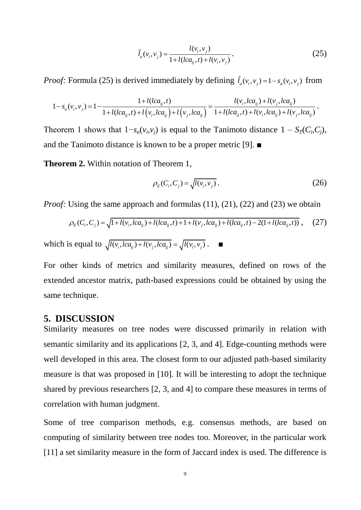$$
\tilde{l}_a(v_i, v_j) = \frac{l(v_i, v_j)}{1 + l(lca_{ij}, t) + l(v_i, v_j)}.
$$
\n(25)

*Proof:* Formula (25) is derived immediately by defining  $\tilde{l}_a(v_i, v_j) = 1 - s_a(v_i, v_j)$  from

*oof:* Formula (25) is derived immediately by defining 
$$
\tilde{l}_a(v_i, v_j) = 1 - s_a(v_i, v_j)
$$
 from  
\n
$$
1 - s_a(v_i, v_j) = 1 - \frac{1 + l(lca_{ij}, t)}{1 + l(lca_{ij}, t) + l(v_i, lca_{ij}) + l(v_j, lca_{ij})} = \frac{l(v_i, lca_{ij}) + l(v_j, lca_{ij})}{1 + l(lca_{ij}, t) + l(v_i, lca_{ij}) + l(v_j, lca_{ij})}.
$$

Theorem 1 shows that  $1 - s_a(v_i, v_j)$  is equal to the Tanimoto distance  $1 - S_T(C_i, C_j)$ , and the Tanimoto distance is known to be a proper metric [9]. ■

**Theorem 2.** Within notation of Theorem 1,

$$
\rho_E(C_i, C_j) = \sqrt{l(v_i, v_j)}.
$$
\n(26)

*Proof:* Using the same approach and formulas (11), (21), (22) and (23) we obtain

Using the same approach and formulas (11), (21), (22) and (23) we obtain  

$$
\rho_E(C_i, C_j) = \sqrt{1 + l(v_i, lca_{ij}) + l(lca_{ij}, t) + 1 + l(v_j, lca_{ij}) + l(lca_{ij}, t) - 2(1 + l(lca_{ij}, t))},
$$
(27)

which is equal to  $\sqrt{l(v_i, lca_{ij}) + l(v_j, lca_{ij})} = \sqrt{l(v_i, v_j)}$ .

For other kinds of metrics and similarity measures, defined on rows of the extended ancestor matrix, path-based expressions could be obtained by using the same technique.

# **5. DISCUSSION**

Similarity measures on tree nodes were discussed primarily in relation with semantic similarity and its applications [2, 3, and 4]. Edge-counting methods were well developed in this area. The closest form to our adjusted path-based similarity measure is that was proposed in [10]. It will be interesting to adopt the technique shared by previous researchers [2, 3, and 4] to compare these measures in terms of correlation with human judgment.

Some of tree comparison methods, e.g. consensus methods, are based on computing of similarity between tree nodes too. Moreover, in the particular work [11] a set similarity measure in the form of Jaccard index is used. The difference is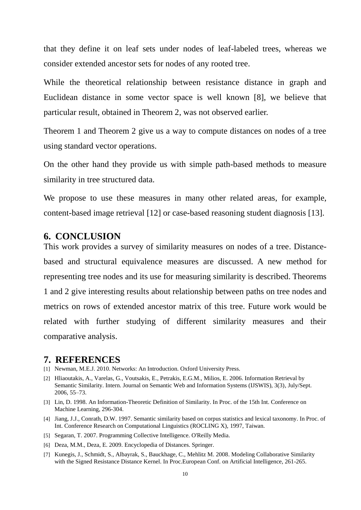that they define it on leaf sets under nodes of leaf-labeled trees, whereas we consider extended ancestor sets for nodes of any rooted tree.

While the theoretical relationship between resistance distance in graph and Euclidean distance in some vector space is well known [8], we believe that particular result, obtained in Theorem 2, was not observed earlier.

Theorem 1 and Theorem 2 give us a way to compute distances on nodes of a tree using standard vector operations.

On the other hand they provide us with simple path-based methods to measure similarity in tree structured data.

We propose to use these measures in many other related areas, for example, content-based image retrieval [12] or case-based reasoning student diagnosis [13].

# **6. CONCLUSION**

This work provides a survey of similarity measures on nodes of a tree. Distancebased and structural equivalence measures are discussed. A new method for representing tree nodes and its use for measuring similarity is described. Theorems 1 and 2 give interesting results about relationship between paths on tree nodes and metrics on rows of extended ancestor matrix of this tree. Future work would be related with further studying of different similarity measures and their comparative analysis.

### **7. REFERENCES**

- [1] Newman, M.E.J. 2010. Networks: An Introduction. Oxford University Press.
- [2] Hliaoutakis, A., Varelas, G., Voutsakis, E., Petrakis, E.G.M., Milios, E. 2006. Information Retrieval by Semantic Similarity. Intern. Journal on Semantic Web and Information Systems (IJSWIS), 3(3), July/Sept. 2006, 55–73.
- [3] Lin, D. 1998. An Information-Theoretic Definition of Similarity. In Proc. of the 15th Int. Conference on Machine Learning, 296-304.
- [4] Jiang, J.J., Conrath, D.W. 1997. Semantic similarity based on corpus statistics and lexical taxonomy. In Proc. of Int. Conference Research on Computational Linguistics (ROCLING X), 1997, Taiwan.
- [5] Segaran, T. 2007. Programming Collective Intelligence. O'Reilly Media.
- [6] Deza, M.M., Deza, E. 2009. Encyclopedia of Distances. Springer.
- [7] Kunegis, J., Schmidt, S., Albayrak, S., Bauckhage, C., Mehlitz M. 2008. Modeling Collaborative Similarity with the Signed Resistance Distance Kernel. In Proc.European Conf. on Artificial Intelligence, 261-265.